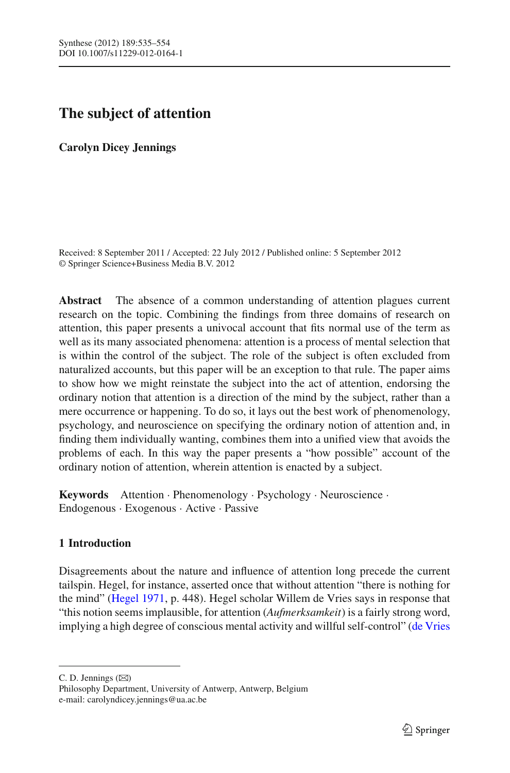# **The subject of attention**

# **Carolyn Dicey Jennings**

Received: 8 September 2011 / Accepted: 22 July 2012 / Published online: 5 September 2012 © Springer Science+Business Media B.V. 2012

**Abstract** The absence of a common understanding of attention plagues current research on the topic. Combining the findings from three domains of research on attention, this paper presents a univocal account that fits normal use of the term as well as its many associated phenomena: attention is a process of mental selection that is within the control of the subject. The role of the subject is often excluded from naturalized accounts, but this paper will be an exception to that rule. The paper aims to show how we might reinstate the subject into the act of attention, endorsing the ordinary notion that attention is a direction of the mind by the subject, rather than a mere occurrence or happening. To do so, it lays out the best work of phenomenology, psychology, and neuroscience on specifying the ordinary notion of attention and, in finding them individually wanting, combines them into a unified view that avoids the problems of each. In this way the paper presents a "how possible" account of the ordinary notion of attention, wherein attention is enacted by a subject.

**Keywords** Attention · Phenomenology · Psychology · Neuroscience · Endogenous · Exogenous · Active · Passive

# **1 Introduction**

Disagreements about the nature and influence of attention long precede the current tailspin. Hegel, for instance, asserted once that without attention "there is nothing for the mind" [\(Hegel 1971](#page-18-0), p. 448). Hegel scholar Willem de Vries says in response that "this notion seems implausible, for attention (*Aufmerksamkeit*) is a fairly strong word, implying a high degree of conscious mental activity and willful self-control" [\(de Vries](#page-18-1)

C. D. Jennings  $(\boxtimes)$ 

Philosophy Department, University of Antwerp, Antwerp, Belgium e-mail: carolyndicey.jennings@ua.ac.be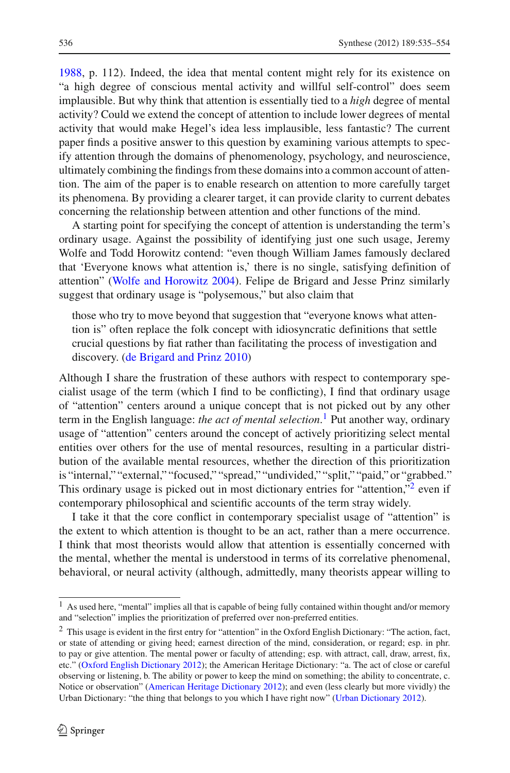[1988,](#page-18-1) p. 112). Indeed, the idea that mental content might rely for its existence on "a high degree of conscious mental activity and willful self-control" does seem implausible. But why think that attention is essentially tied to a *high* degree of mental activity? Could we extend the concept of attention to include lower degrees of mental activity that would make Hegel's idea less implausible, less fantastic? The current paper finds a positive answer to this question by examining various attempts to specify attention through the domains of phenomenology, psychology, and neuroscience, ultimately combining the findings from these domains into a common account of attention. The aim of the paper is to enable research on attention to more carefully target its phenomena. By providing a clearer target, it can provide clarity to current debates concerning the relationship between attention and other functions of the mind.

A starting point for specifying the concept of attention is understanding the term's ordinary usage. Against the possibility of identifying just one such usage, Jeremy Wolfe and Todd Horowitz contend: "even though William James famously declared that 'Everyone knows what attention is,' there is no single, satisfying definition of attention" [\(Wolfe and Horowitz 2004\)](#page-19-0). Felipe de Brigard and Jesse Prinz similarly suggest that ordinary usage is "polysemous," but also claim that

those who try to move beyond that suggestion that "everyone knows what attention is" often replace the folk concept with idiosyncratic definitions that settle crucial questions by fiat rather than facilitating the process of investigation and discovery. [\(de Brigard and Prinz 2010](#page-18-2))

Although I share the frustration of these authors with respect to contemporary specialist usage of the term (which I find to be conflicting), I find that ordinary usage of "attention" centers around a unique concept that is not picked out by any other term in the English language: *the act of mental selection*. [1](#page-1-0) Put another way, ordinary usage of "attention" centers around the concept of actively prioritizing select mental entities over others for the use of mental resources, resulting in a particular distribution of the available mental resources, whether the direction of this prioritization is "internal," "external," "focused," "spread," "undivided," "split," "paid," or "grabbed." This ordinary usage is picked out in most dictionary entries for "attention,"<sup>2</sup> even if contemporary philosophical and scientific accounts of the term stray widely.

I take it that the core conflict in contemporary specialist usage of "attention" is the extent to which attention is thought to be an act, rather than a mere occurrence. I think that most theorists would allow that attention is essentially concerned with the mental, whether the mental is understood in terms of its correlative phenomenal, behavioral, or neural activity (although, admittedly, many theorists appear willing to

<span id="page-1-0"></span> $1$  As used here, "mental" implies all that is capable of being fully contained within thought and/or memory and "selection" implies the prioritization of preferred over non-preferred entities.

<span id="page-1-1"></span><sup>&</sup>lt;sup>2</sup> This usage is evident in the first entry for "attention" in the Oxford English Dictionary: "The action, fact, or state of attending or giving heed; earnest direction of the mind, consideration, or regard; esp. in phr. to pay or give attention. The mental power or faculty of attending; esp. with attract, call, draw, arrest, fix, etc." [\(Oxford English Dictionary 2012\)](#page-19-1); the American Heritage Dictionary: "a. The act of close or careful observing or listening, b. The ability or power to keep the mind on something; the ability to concentrate, c. Notice or observation" [\(American Heritage Dictionary 2012](#page-18-3)); and even (less clearly but more vividly) the Urban Dictionary: "the thing that belongs to you which I have right now" [\(Urban Dictionary 2012](#page-19-2)).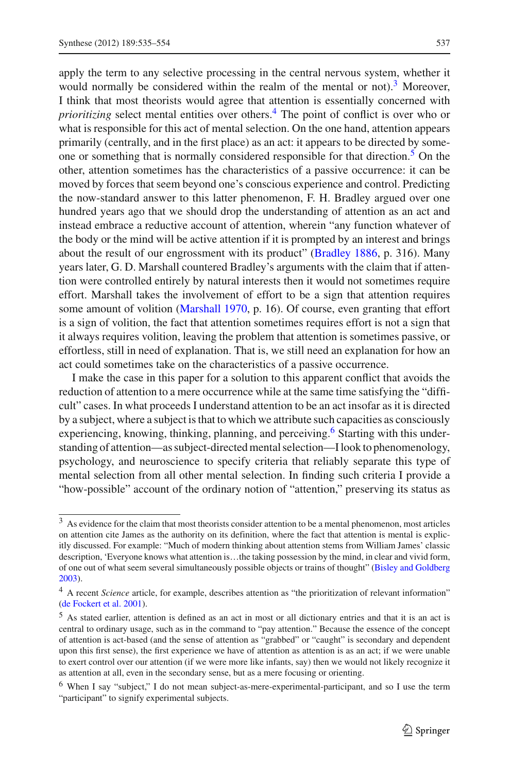apply the term to any selective processing in the central nervous system, whether it would normally be considered within the realm of the mental or not).<sup>[3](#page-2-0)</sup> Moreover, I think that most theorists would agree that attention is essentially concerned with *prioritizing* select mental entities over others.<sup>4</sup> The point of conflict is over who or what is responsible for this act of mental selection. On the one hand, attention appears primarily (centrally, and in the first place) as an act: it appears to be directed by some-one or something that is normally considered responsible for that direction.<sup>[5](#page-2-2)</sup> On the other, attention sometimes has the characteristics of a passive occurrence: it can be moved by forces that seem beyond one's conscious experience and control. Predicting the now-standard answer to this latter phenomenon, F. H. Bradley argued over one hundred years ago that we should drop the understanding of attention as an act and instead embrace a reductive account of attention, wherein "any function whatever of the body or the mind will be active attention if it is prompted by an interest and brings about the result of our engrossment with its product" [\(Bradley 1886](#page-18-4), p. 316). Many years later, G. D. Marshall countered Bradley's arguments with the claim that if attention were controlled entirely by natural interests then it would not sometimes require effort. Marshall takes the involvement of effort to be a sign that attention requires some amount of volition [\(Marshall 1970](#page-19-3), p. 16). Of course, even granting that effort is a sign of volition, the fact that attention sometimes requires effort is not a sign that it always requires volition, leaving the problem that attention is sometimes passive, or effortless, still in need of explanation. That is, we still need an explanation for how an act could sometimes take on the characteristics of a passive occurrence.

I make the case in this paper for a solution to this apparent conflict that avoids the reduction of attention to a mere occurrence while at the same time satisfying the "difficult" cases. In what proceeds I understand attention to be an act insofar as it is directed by a subject, where a subject is that to which we attribute such capacities as consciously experiencing, knowing, thinking, planning, and perceiving.<sup>[6](#page-2-3)</sup> Starting with this understanding of attention—as subject-directed mental selection—I look to phenomenology, psychology, and neuroscience to specify criteria that reliably separate this type of mental selection from all other mental selection. In finding such criteria I provide a "how-possible" account of the ordinary notion of "attention," preserving its status as

<span id="page-2-0"></span><sup>&</sup>lt;sup>3</sup> As evidence for the claim that most theorists consider attention to be a mental phenomenon, most articles on attention cite James as the authority on its definition, where the fact that attention is mental is explicitly discussed. For example: "Much of modern thinking about attention stems from William James' classic description, 'Everyone knows what attention is…the taking possession by the mind, in clear and vivid form, of one out of what seem several simultaneously possible objects or trains of thought" [\(Bisley and Goldberg](#page-18-5) [2003\)](#page-18-5).

<span id="page-2-1"></span><sup>4</sup> A recent *Science* article, for example, describes attention as "the prioritization of relevant information" [\(de Fockert et al. 2001](#page-18-6)).

<span id="page-2-2"></span><sup>5</sup> As stated earlier, attention is defined as an act in most or all dictionary entries and that it is an act is central to ordinary usage, such as in the command to "pay attention." Because the essence of the concept of attention is act-based (and the sense of attention as "grabbed" or "caught" is secondary and dependent upon this first sense), the first experience we have of attention as attention is as an act; if we were unable to exert control over our attention (if we were more like infants, say) then we would not likely recognize it as attention at all, even in the secondary sense, but as a mere focusing or orienting.

<span id="page-2-3"></span><sup>6</sup> When I say "subject," I do not mean subject-as-mere-experimental-participant, and so I use the term "participant" to signify experimental subjects.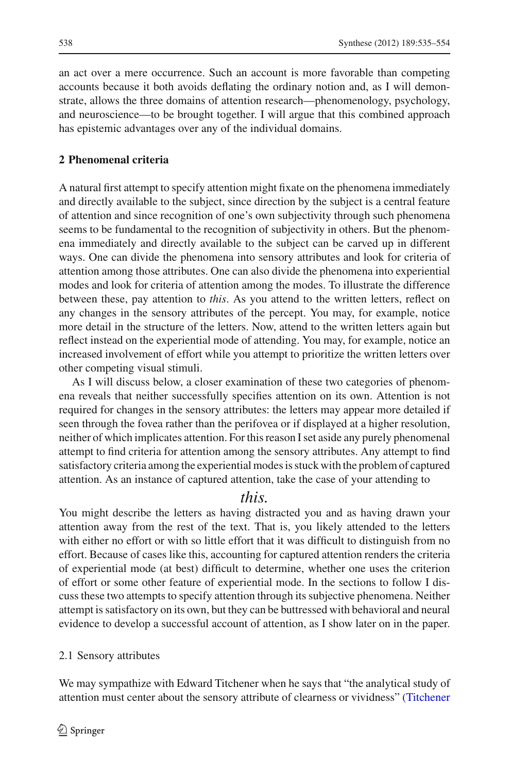an act over a mere occurrence. Such an account is more favorable than competing accounts because it both avoids deflating the ordinary notion and, as I will demonstrate, allows the three domains of attention research—phenomenology, psychology, and neuroscience—to be brought together. I will argue that this combined approach has epistemic advantages over any of the individual domains.

### **2 Phenomenal criteria**

A natural first attempt to specify attention might fixate on the phenomena immediately and directly available to the subject, since direction by the subject is a central feature of attention and since recognition of one's own subjectivity through such phenomena seems to be fundamental to the recognition of subjectivity in others. But the phenomena immediately and directly available to the subject can be carved up in different ways. One can divide the phenomena into sensory attributes and look for criteria of attention among those attributes. One can also divide the phenomena into experiential modes and look for criteria of attention among the modes. To illustrate the difference between these, pay attention to *this*. As you attend to the written letters, reflect on any changes in the sensory attributes of the percept. You may, for example, notice more detail in the structure of the letters. Now, attend to the written letters again but reflect instead on the experiential mode of attending. You may, for example, notice an increased involvement of effort while you attempt to prioritize the written letters over other competing visual stimuli.

As I will discuss below, a closer examination of these two categories of phenomena reveals that neither successfully specifies attention on its own. Attention is not required for changes in the sensory attributes: the letters may appear more detailed if seen through the fovea rather than the perifovea or if displayed at a higher resolution, neither of which implicates attention. For this reason I set aside any purely phenomenal attempt to find criteria for attention among the sensory attributes. Any attempt to find satisfactory criteria among the experiential modes is stuck with the problem of captured attention. As an instance of captured attention, take the case of your attending to

# *this.*

You might describe the letters as having distracted you and as having drawn your attention away from the rest of the text. That is, you likely attended to the letters with either no effort or with so little effort that it was difficult to distinguish from no effort. Because of cases like this, accounting for captured attention renders the criteria of experiential mode (at best) difficult to determine, whether one uses the criterion of effort or some other feature of experiential mode. In the sections to follow I discuss these two attempts to specify attention through its subjective phenomena. Neither attempt is satisfactory on its own, but they can be buttressed with behavioral and neural evidence to develop a successful account of attention, as I show later on in the paper.

#### 2.1 Sensory attributes

We may sympathize with Edward Titchener when he says that "the analytical study of attention must center about the sensory attribute of clearness or vividness" [\(Titchener](#page-19-4)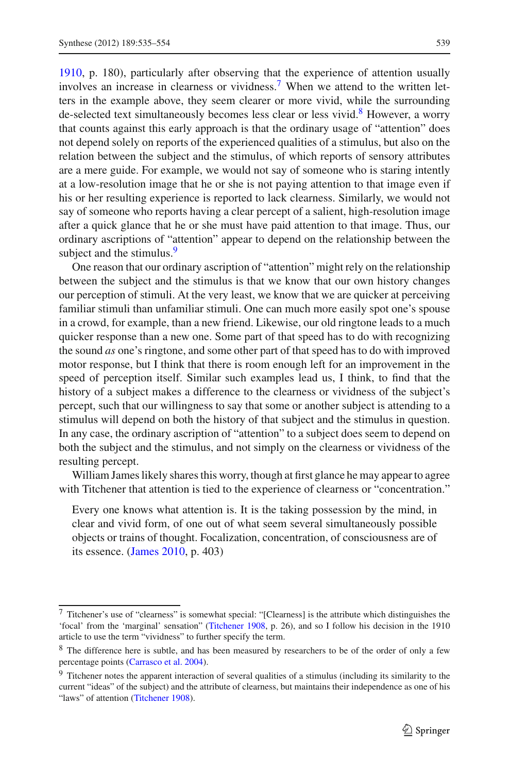[1910,](#page-19-4) p. 180), particularly after observing that the experience of attention usually involves an increase in clearness or vividness.<sup>7</sup> When we attend to the written letters in the example above, they seem clearer or more vivid, while the surrounding de-selected text simultaneously becomes less clear or less vivid.<sup>8</sup> However, a worry that counts against this early approach is that the ordinary usage of "attention" does not depend solely on reports of the experienced qualities of a stimulus, but also on the relation between the subject and the stimulus, of which reports of sensory attributes are a mere guide. For example, we would not say of someone who is staring intently at a low-resolution image that he or she is not paying attention to that image even if his or her resulting experience is reported to lack clearness. Similarly, we would not say of someone who reports having a clear percept of a salient, high-resolution image after a quick glance that he or she must have paid attention to that image. Thus, our ordinary ascriptions of "attention" appear to depend on the relationship between the subject and the stimulus. $9$ 

One reason that our ordinary ascription of "attention" might rely on the relationship between the subject and the stimulus is that we know that our own history changes our perception of stimuli. At the very least, we know that we are quicker at perceiving familiar stimuli than unfamiliar stimuli. One can much more easily spot one's spouse in a crowd, for example, than a new friend. Likewise, our old ringtone leads to a much quicker response than a new one. Some part of that speed has to do with recognizing the sound *as* one's ringtone, and some other part of that speed has to do with improved motor response, but I think that there is room enough left for an improvement in the speed of perception itself. Similar such examples lead us, I think, to find that the history of a subject makes a difference to the clearness or vividness of the subject's percept, such that our willingness to say that some or another subject is attending to a stimulus will depend on both the history of that subject and the stimulus in question. In any case, the ordinary ascription of "attention" to a subject does seem to depend on both the subject and the stimulus, and not simply on the clearness or vividness of the resulting percept.

William James likely shares this worry, though at first glance he may appear to agree with Titchener that attention is tied to the experience of clearness or "concentration."

Every one knows what attention is. It is the taking possession by the mind, in clear and vivid form, of one out of what seem several simultaneously possible objects or trains of thought. Focalization, concentration, of consciousness are of its essence. [\(James 2010](#page-19-5), p. 403)

<span id="page-4-0"></span><sup>7</sup> Titchener's use of "clearness" is somewhat special: "[Clearness] is the attribute which distinguishes the 'focal' from the 'marginal' sensation" [\(Titchener 1908,](#page-19-6) p. 26), and so I follow his decision in the 1910 article to use the term "vividness" to further specify the term.

<span id="page-4-1"></span><sup>&</sup>lt;sup>8</sup> The difference here is subtle, and has been measured by researchers to be of the order of only a few percentage points [\(Carrasco et al. 2004](#page-18-7)).

<span id="page-4-2"></span><sup>&</sup>lt;sup>9</sup> Titchener notes the apparent interaction of several qualities of a stimulus (including its similarity to the current "ideas" of the subject) and the attribute of clearness, but maintains their independence as one of his "laws" of attention [\(Titchener 1908\)](#page-19-6).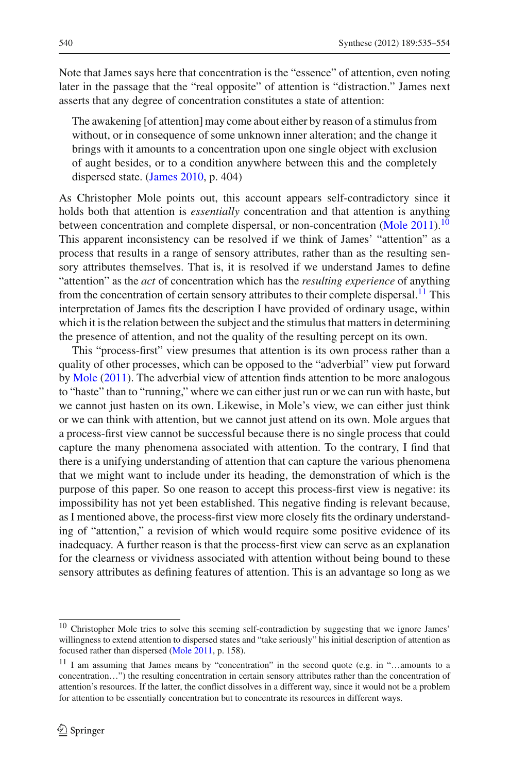Note that James says here that concentration is the "essence" of attention, even noting later in the passage that the "real opposite" of attention is "distraction." James next asserts that any degree of concentration constitutes a state of attention:

The awakening [of attention] may come about either by reason of a stimulus from without, or in consequence of some unknown inner alteration; and the change it brings with it amounts to a concentration upon one single object with exclusion of aught besides, or to a condition anywhere between this and the completely dispersed state. [\(James 2010,](#page-19-5) p. 404)

As Christopher Mole points out, this account appears self-contradictory since it holds both that attention is *essentially* concentration and that attention is anything between concentration and complete dispersal, or non-concentration (Mole  $2011$ ).<sup>[10](#page-5-0)</sup> This apparent inconsistency can be resolved if we think of James' "attention" as a process that results in a range of sensory attributes, rather than as the resulting sensory attributes themselves. That is, it is resolved if we understand James to define "attention" as the *act* of concentration which has the *resulting experience* of anything from the concentration of certain sensory attributes to their complete dispersal.<sup>[11](#page-5-1)</sup> This interpretation of James fits the description I have provided of ordinary usage, within which it is the relation between the subject and the stimulus that matters in determining the presence of attention, and not the quality of the resulting percept on its own.

This "process-first" view presumes that attention is its own process rather than a quality of other processes, which can be opposed to the "adverbial" view put forward by [Mole](#page-19-7) [\(2011\)](#page-19-7). The adverbial view of attention finds attention to be more analogous to "haste" than to "running," where we can either just run or we can run with haste, but we cannot just hasten on its own. Likewise, in Mole's view, we can either just think or we can think with attention, but we cannot just attend on its own. Mole argues that a process-first view cannot be successful because there is no single process that could capture the many phenomena associated with attention. To the contrary, I find that there is a unifying understanding of attention that can capture the various phenomena that we might want to include under its heading, the demonstration of which is the purpose of this paper. So one reason to accept this process-first view is negative: its impossibility has not yet been established. This negative finding is relevant because, as I mentioned above, the process-first view more closely fits the ordinary understanding of "attention," a revision of which would require some positive evidence of its inadequacy. A further reason is that the process-first view can serve as an explanation for the clearness or vividness associated with attention without being bound to these sensory attributes as defining features of attention. This is an advantage so long as we

<span id="page-5-0"></span><sup>10</sup> Christopher Mole tries to solve this seeming self-contradiction by suggesting that we ignore James' willingness to extend attention to dispersed states and "take seriously" his initial description of attention as focused rather than dispersed [\(Mole 2011](#page-19-7), p. 158).

<span id="page-5-1"></span><sup>11</sup> I am assuming that James means by "concentration" in the second quote (e.g. in "…amounts to a concentration…") the resulting concentration in certain sensory attributes rather than the concentration of attention's resources. If the latter, the conflict dissolves in a different way, since it would not be a problem for attention to be essentially concentration but to concentrate its resources in different ways.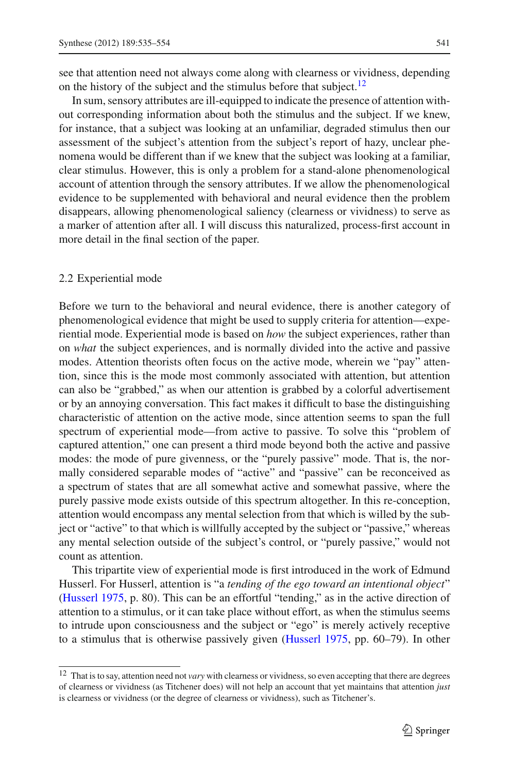see that attention need not always come along with clearness or vividness, depending on the history of the subject and the stimulus before that subject.<sup>[12](#page-6-0)</sup>

In sum, sensory attributes are ill-equipped to indicate the presence of attention without corresponding information about both the stimulus and the subject. If we knew, for instance, that a subject was looking at an unfamiliar, degraded stimulus then our assessment of the subject's attention from the subject's report of hazy, unclear phenomena would be different than if we knew that the subject was looking at a familiar, clear stimulus. However, this is only a problem for a stand-alone phenomenological account of attention through the sensory attributes. If we allow the phenomenological evidence to be supplemented with behavioral and neural evidence then the problem disappears, allowing phenomenological saliency (clearness or vividness) to serve as a marker of attention after all. I will discuss this naturalized, process-first account in more detail in the final section of the paper.

#### 2.2 Experiential mode

Before we turn to the behavioral and neural evidence, there is another category of phenomenological evidence that might be used to supply criteria for attention—experiential mode. Experiential mode is based on *how* the subject experiences, rather than on *what* the subject experiences, and is normally divided into the active and passive modes. Attention theorists often focus on the active mode, wherein we "pay" attention, since this is the mode most commonly associated with attention, but attention can also be "grabbed," as when our attention is grabbed by a colorful advertisement or by an annoying conversation. This fact makes it difficult to base the distinguishing characteristic of attention on the active mode, since attention seems to span the full spectrum of experiential mode—from active to passive. To solve this "problem of captured attention," one can present a third mode beyond both the active and passive modes: the mode of pure givenness, or the "purely passive" mode. That is, the normally considered separable modes of "active" and "passive" can be reconceived as a spectrum of states that are all somewhat active and somewhat passive, where the purely passive mode exists outside of this spectrum altogether. In this re-conception, attention would encompass any mental selection from that which is willed by the subject or "active" to that which is willfully accepted by the subject or "passive," whereas any mental selection outside of the subject's control, or "purely passive," would not count as attention.

This tripartite view of experiential mode is first introduced in the work of Edmund Husserl. For Husserl, attention is "a *tending of the ego toward an intentional object*" [\(Husserl 1975,](#page-19-8) p. 80). This can be an effortful "tending," as in the active direction of attention to a stimulus, or it can take place without effort, as when the stimulus seems to intrude upon consciousness and the subject or "ego" is merely actively receptive to a stimulus that is otherwise passively given [\(Husserl 1975,](#page-19-8) pp. 60–79). In other

<span id="page-6-0"></span><sup>12</sup> That is to say, attention need not *vary* with clearness or vividness, so even accepting that there are degrees of clearness or vividness (as Titchener does) will not help an account that yet maintains that attention *just* is clearness or vividness (or the degree of clearness or vividness), such as Titchener's.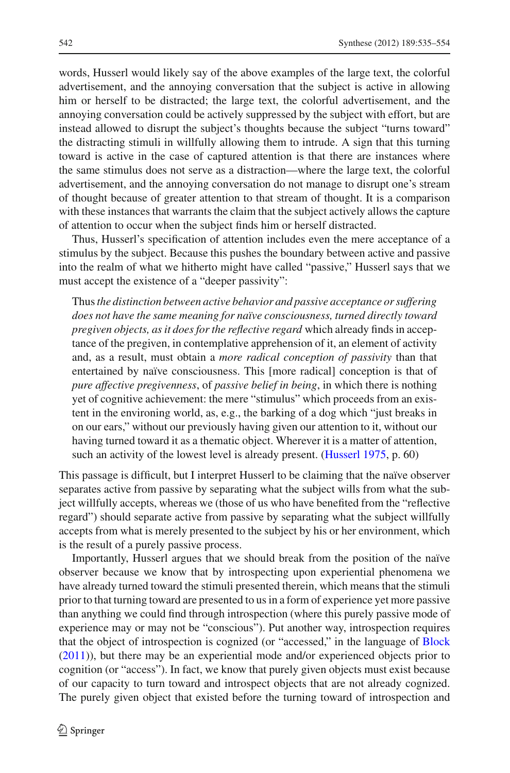words, Husserl would likely say of the above examples of the large text, the colorful advertisement, and the annoying conversation that the subject is active in allowing him or herself to be distracted; the large text, the colorful advertisement, and the annoying conversation could be actively suppressed by the subject with effort, but are instead allowed to disrupt the subject's thoughts because the subject "turns toward" the distracting stimuli in willfully allowing them to intrude. A sign that this turning toward is active in the case of captured attention is that there are instances where the same stimulus does not serve as a distraction—where the large text, the colorful advertisement, and the annoying conversation do not manage to disrupt one's stream of thought because of greater attention to that stream of thought. It is a comparison with these instances that warrants the claim that the subject actively allows the capture of attention to occur when the subject finds him or herself distracted.

Thus, Husserl's specification of attention includes even the mere acceptance of a stimulus by the subject. Because this pushes the boundary between active and passive into the realm of what we hitherto might have called "passive," Husserl says that we must accept the existence of a "deeper passivity":

Thus*the distinction between active behavior and passive acceptance or suffering does not have the same meaning for naïve consciousness, turned directly toward pregiven objects, as it does for the reflective regard* which already finds in acceptance of the pregiven, in contemplative apprehension of it, an element of activity and, as a result, must obtain a *more radical conception of passivity* than that entertained by naïve consciousness. This [more radical] conception is that of *pure affective pregivenness*, of *passive belief in being*, in which there is nothing yet of cognitive achievement: the mere "stimulus" which proceeds from an existent in the environing world, as, e.g., the barking of a dog which "just breaks in on our ears," without our previously having given our attention to it, without our having turned toward it as a thematic object. Wherever it is a matter of attention, such an activity of the lowest level is already present. [\(Husserl 1975,](#page-19-8) p. 60)

This passage is difficult, but I interpret Husserl to be claiming that the naïve observer separates active from passive by separating what the subject wills from what the subject willfully accepts, whereas we (those of us who have benefited from the "reflective regard") should separate active from passive by separating what the subject willfully accepts from what is merely presented to the subject by his or her environment, which is the result of a purely passive process.

Importantly, Husserl argues that we should break from the position of the naïve observer because we know that by introspecting upon experiential phenomena we have already turned toward the stimuli presented therein, which means that the stimuli prior to that turning toward are presented to us in a form of experience yet more passive than anything we could find through introspection (where this purely passive mode of experience may or may not be "conscious"). Put another way, introspection requires that the object of introspection is cognized (or "accessed," in the language of [Block](#page-18-8) [\(2011\)](#page-18-8)), but there may be an experiential mode and/or experienced objects prior to cognition (or "access"). In fact, we know that purely given objects must exist because of our capacity to turn toward and introspect objects that are not already cognized. The purely given object that existed before the turning toward of introspection and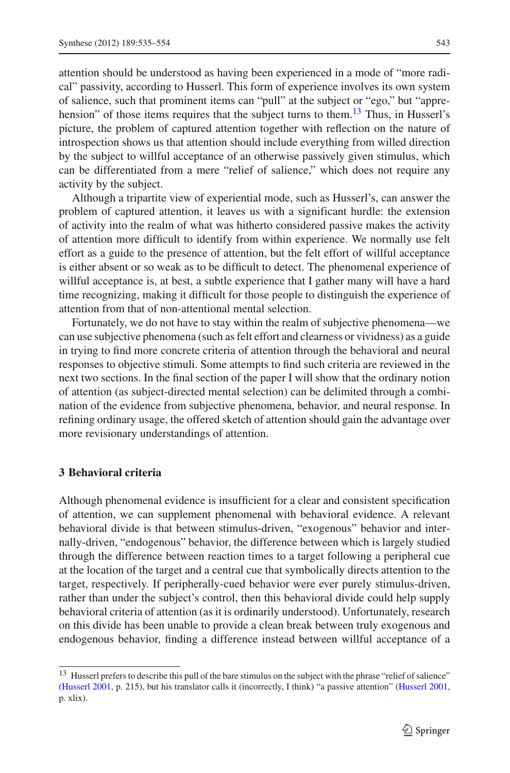attention should be understood as having been experienced in a mode of "more radical" passivity, according to Husserl. This form of experience involves its own system of salience, such that prominent items can "pull" at the subject or "ego," but "appre-hension" of those items requires that the subject turns to them.<sup>[13](#page-8-0)</sup> Thus, in Husserl's picture, the problem of captured attention together with reflection on the nature of introspection shows us that attention should include everything from willed direction by the subject to willful acceptance of an otherwise passively given stimulus, which can be differentiated from a mere "relief of salience," which does not require any activity by the subject.

Although a tripartite view of experiential mode, such as Husserl's, can answer the problem of captured attention, it leaves us with a significant hurdle: the extension of activity into the realm of what was hitherto considered passive makes the activity of attention more difficult to identify from within experience. We normally use felt effort as a guide to the presence of attention, but the felt effort of willful acceptance is either absent or so weak as to be difficult to detect. The phenomenal experience of willful acceptance is, at best, a subtle experience that I gather many will have a hard time recognizing, making it difficult for those people to distinguish the experience of attention from that of non-attentional mental selection.

Fortunately, we do not have to stay within the realm of subjective phenomena—we can use subjective phenomena (such as felt effort and clearness or vividness) as a guide in trying to find more concrete criteria of attention through the behavioral and neural responses to objective stimuli. Some attempts to find such criteria are reviewed in the next two sections. In the final section of the paper I will show that the ordinary notion of attention (as subject-directed mental selection) can be delimited through a combination of the evidence from subjective phenomena, behavior, and neural response. In refining ordinary usage, the offered sketch of attention should gain the advantage over more revisionary understandings of attention.

## **3 Behavioral criteria**

Although phenomenal evidence is insufficient for a clear and consistent specification of attention, we can supplement phenomenal with behavioral evidence. A relevant behavioral divide is that between stimulus-driven, "exogenous" behavior and internally-driven, "endogenous" behavior, the difference between which is largely studied through the difference between reaction times to a target following a peripheral cue at the location of the target and a central cue that symbolically directs attention to the target, respectively. If peripherally-cued behavior were ever purely stimulus-driven, rather than under the subject's control, then this behavioral divide could help supply behavioral criteria of attention (as it is ordinarily understood). Unfortunately, research on this divide has been unable to provide a clean break between truly exogenous and endogenous behavior, finding a difference instead between willful acceptance of a

<span id="page-8-0"></span><sup>&</sup>lt;sup>13</sup> Husserl prefers to describe this pull of the bare stimulus on the subject with the phrase "relief of salience" [\(Husserl 2001,](#page-19-9) p. 215), but his translator calls it (incorrectly, I think) "a passive attention" [\(Husserl 2001](#page-19-9), p. xlix).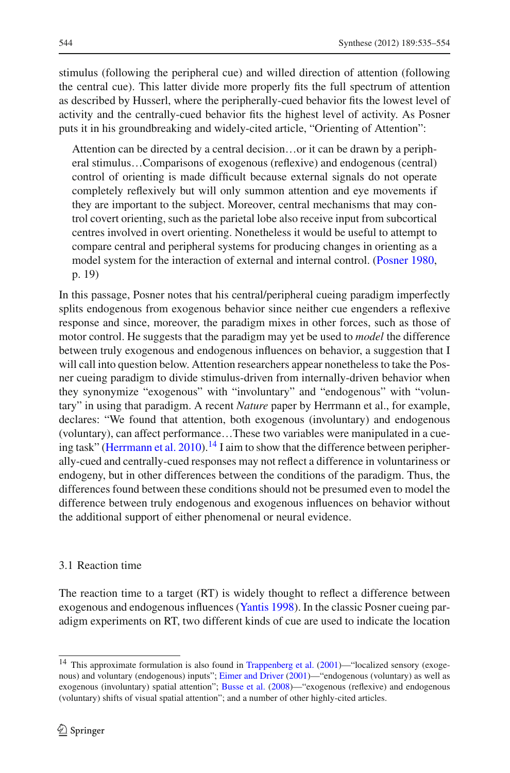stimulus (following the peripheral cue) and willed direction of attention (following the central cue). This latter divide more properly fits the full spectrum of attention as described by Husserl, where the peripherally-cued behavior fits the lowest level of activity and the centrally-cued behavior fits the highest level of activity. As Posner puts it in his groundbreaking and widely-cited article, "Orienting of Attention":

Attention can be directed by a central decision…or it can be drawn by a peripheral stimulus…Comparisons of exogenous (reflexive) and endogenous (central) control of orienting is made difficult because external signals do not operate completely reflexively but will only summon attention and eye movements if they are important to the subject. Moreover, central mechanisms that may control covert orienting, such as the parietal lobe also receive input from subcortical centres involved in overt orienting. Nonetheless it would be useful to attempt to compare central and peripheral systems for producing changes in orienting as a model system for the interaction of external and internal control. [\(Posner 1980](#page-19-10), p. 19)

In this passage, Posner notes that his central/peripheral cueing paradigm imperfectly splits endogenous from exogenous behavior since neither cue engenders a reflexive response and since, moreover, the paradigm mixes in other forces, such as those of motor control. He suggests that the paradigm may yet be used to *model* the difference between truly exogenous and endogenous influences on behavior, a suggestion that I will call into question below. Attention researchers appear nonetheless to take the Posner cueing paradigm to divide stimulus-driven from internally-driven behavior when they synonymize "exogenous" with "involuntary" and "endogenous" with "voluntary" in using that paradigm. A recent *Nature* paper by Herrmann et al., for example, declares: "We found that attention, both exogenous (involuntary) and endogenous (voluntary), can affect performance…These two variables were manipulated in a cue-ing task" [\(Herrmann et al. 2010\)](#page-18-9).<sup>[14](#page-9-0)</sup> I aim to show that the difference between peripherally-cued and centrally-cued responses may not reflect a difference in voluntariness or endogeny, but in other differences between the conditions of the paradigm. Thus, the differences found between these conditions should not be presumed even to model the difference between truly endogenous and exogenous influences on behavior without the additional support of either phenomenal or neural evidence.

#### 3.1 Reaction time

The reaction time to a target (RT) is widely thought to reflect a difference between exogenous and endogenous influences [\(Yantis 1998\)](#page-19-11). In the classic Posner cueing paradigm experiments on RT, two different kinds of cue are used to indicate the location

<span id="page-9-0"></span><sup>14</sup> This approximate formulation is also found in [Trappenberg et al.](#page-19-12) [\(2001\)](#page-19-12)—"localized sensory (exogenous) and voluntary (endogenous) inputs"; [Eimer and Driver](#page-18-10) [\(2001](#page-18-10))—"endogenous (voluntary) as well as exogenous (involuntary) spatial attention"; [Busse et al.](#page-18-11) [\(2008\)](#page-18-11)—"exogenous (reflexive) and endogenous (voluntary) shifts of visual spatial attention"; and a number of other highly-cited articles.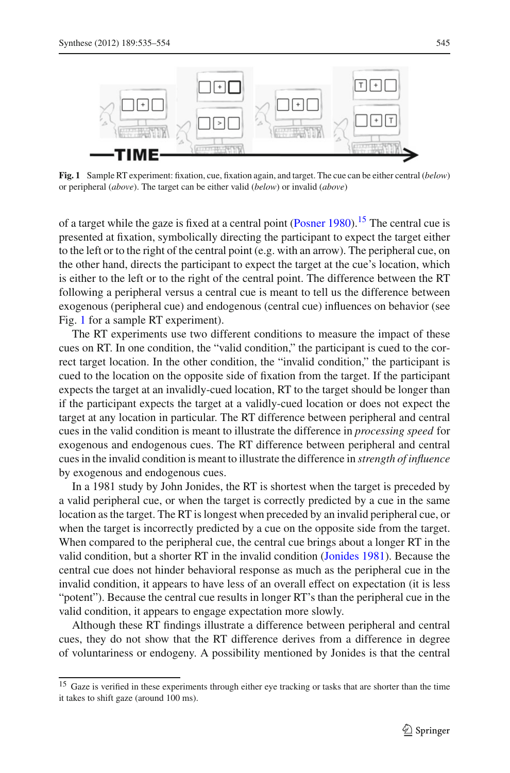

<span id="page-10-1"></span>**Fig. 1** Sample RT experiment: fixation, cue, fixation again, and target. The cue can be either central (*below*) or peripheral (*above*). The target can be either valid (*below*) or invalid (*above*)

of a target while the gaze is fixed at a central point [\(Posner 1980\)](#page-19-10).<sup>[15](#page-10-0)</sup> The central cue is presented at fixation, symbolically directing the participant to expect the target either to the left or to the right of the central point (e.g. with an arrow). The peripheral cue, on the other hand, directs the participant to expect the target at the cue's location, which is either to the left or to the right of the central point. The difference between the RT following a peripheral versus a central cue is meant to tell us the difference between exogenous (peripheral cue) and endogenous (central cue) influences on behavior (see Fig. [1](#page-10-1) for a sample RT experiment).

The RT experiments use two different conditions to measure the impact of these cues on RT. In one condition, the "valid condition," the participant is cued to the correct target location. In the other condition, the "invalid condition," the participant is cued to the location on the opposite side of fixation from the target. If the participant expects the target at an invalidly-cued location, RT to the target should be longer than if the participant expects the target at a validly-cued location or does not expect the target at any location in particular. The RT difference between peripheral and central cues in the valid condition is meant to illustrate the difference in *processing speed* for exogenous and endogenous cues. The RT difference between peripheral and central cues in the invalid condition is meant to illustrate the difference in *strength of influence* by exogenous and endogenous cues.

In a 1981 study by John Jonides, the RT is shortest when the target is preceded by a valid peripheral cue, or when the target is correctly predicted by a cue in the same location as the target. The RT is longest when preceded by an invalid peripheral cue, or when the target is incorrectly predicted by a cue on the opposite side from the target. When compared to the peripheral cue, the central cue brings about a longer RT in the valid condition, but a shorter RT in the invalid condition [\(Jonides 1981\)](#page-19-13). Because the central cue does not hinder behavioral response as much as the peripheral cue in the invalid condition, it appears to have less of an overall effect on expectation (it is less "potent"). Because the central cue results in longer RT's than the peripheral cue in the valid condition, it appears to engage expectation more slowly.

Although these RT findings illustrate a difference between peripheral and central cues, they do not show that the RT difference derives from a difference in degree of voluntariness or endogeny. A possibility mentioned by Jonides is that the central

<span id="page-10-0"></span><sup>&</sup>lt;sup>15</sup> Gaze is verified in these experiments through either eye tracking or tasks that are shorter than the time it takes to shift gaze (around 100 ms).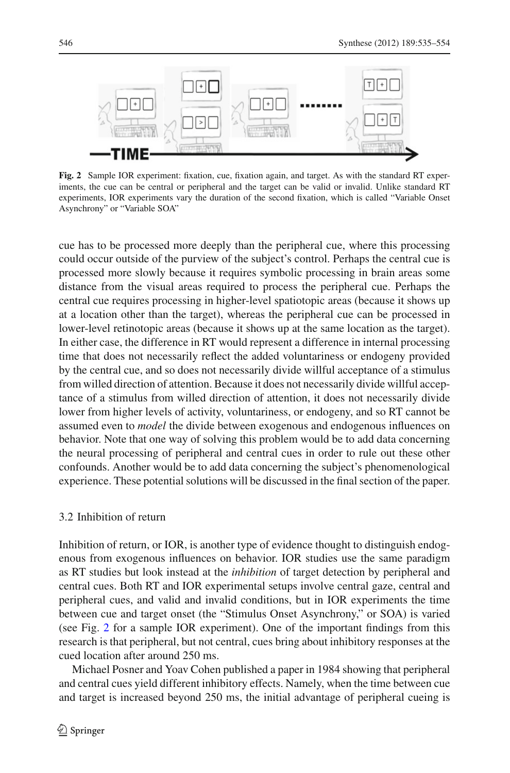

<span id="page-11-0"></span>**Fig. 2** Sample IOR experiment: fixation, cue, fixation again, and target. As with the standard RT experiments, the cue can be central or peripheral and the target can be valid or invalid. Unlike standard RT experiments, IOR experiments vary the duration of the second fixation, which is called "Variable Onset Asynchrony" or "Variable SOA"

cue has to be processed more deeply than the peripheral cue, where this processing could occur outside of the purview of the subject's control. Perhaps the central cue is processed more slowly because it requires symbolic processing in brain areas some distance from the visual areas required to process the peripheral cue. Perhaps the central cue requires processing in higher-level spatiotopic areas (because it shows up at a location other than the target), whereas the peripheral cue can be processed in lower-level retinotopic areas (because it shows up at the same location as the target). In either case, the difference in RT would represent a difference in internal processing time that does not necessarily reflect the added voluntariness or endogeny provided by the central cue, and so does not necessarily divide willful acceptance of a stimulus from willed direction of attention. Because it does not necessarily divide willful acceptance of a stimulus from willed direction of attention, it does not necessarily divide lower from higher levels of activity, voluntariness, or endogeny, and so RT cannot be assumed even to *model* the divide between exogenous and endogenous influences on behavior. Note that one way of solving this problem would be to add data concerning the neural processing of peripheral and central cues in order to rule out these other confounds. Another would be to add data concerning the subject's phenomenological experience. These potential solutions will be discussed in the final section of the paper.

## 3.2 Inhibition of return

Inhibition of return, or IOR, is another type of evidence thought to distinguish endogenous from exogenous influences on behavior. IOR studies use the same paradigm as RT studies but look instead at the *inhibition* of target detection by peripheral and central cues. Both RT and IOR experimental setups involve central gaze, central and peripheral cues, and valid and invalid conditions, but in IOR experiments the time between cue and target onset (the "Stimulus Onset Asynchrony," or SOA) is varied (see Fig. [2](#page-11-0) for a sample IOR experiment). One of the important findings from this research is that peripheral, but not central, cues bring about inhibitory responses at the cued location after around 250 ms.

Michael Posner and Yoav Cohen published a paper in 1984 showing that peripheral and central cues yield different inhibitory effects. Namely, when the time between cue and target is increased beyond 250 ms, the initial advantage of peripheral cueing is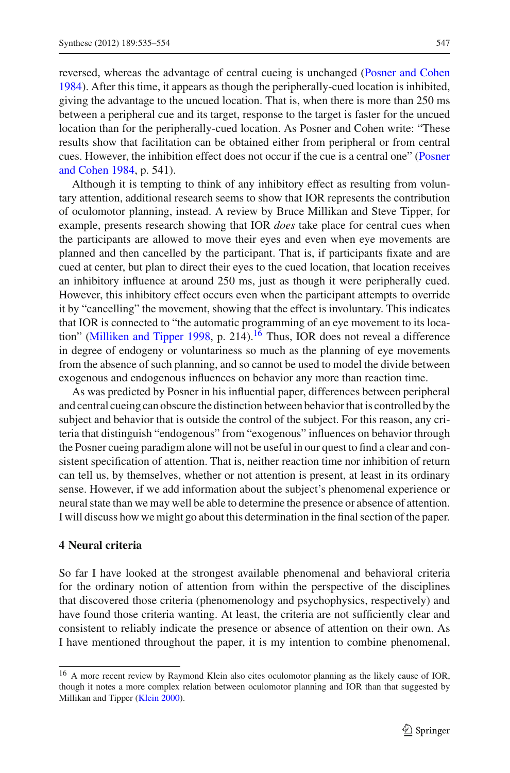reversed, whereas the advantage of central cueing is unchanged [\(Posner and Cohen](#page-19-14) [1984\)](#page-19-14). After this time, it appears as though the peripherally-cued location is inhibited, giving the advantage to the uncued location. That is, when there is more than 250 ms between a peripheral cue and its target, response to the target is faster for the uncued location than for the peripherally-cued location. As Posner and Cohen write: "These results show that facilitation can be obtained either from peripheral or from central cues. How[ever,](#page-19-14) [the](#page-19-14) [inhibition](#page-19-14) [effect](#page-19-14) [does](#page-19-14) [not](#page-19-14) [occur](#page-19-14) [if](#page-19-14) [the](#page-19-14) [cue](#page-19-14) [is](#page-19-14) [a](#page-19-14) [central](#page-19-14) [one"](#page-19-14) [\(](#page-19-14)Posner and Cohen [1984](#page-19-14), p. 541).

Although it is tempting to think of any inhibitory effect as resulting from voluntary attention, additional research seems to show that IOR represents the contribution of oculomotor planning, instead. A review by Bruce Millikan and Steve Tipper, for example, presents research showing that IOR *does* take place for central cues when the participants are allowed to move their eyes and even when eye movements are planned and then cancelled by the participant. That is, if participants fixate and are cued at center, but plan to direct their eyes to the cued location, that location receives an inhibitory influence at around 250 ms, just as though it were peripherally cued. However, this inhibitory effect occurs even when the participant attempts to override it by "cancelling" the movement, showing that the effect is involuntary. This indicates that IOR is connected to "the automatic programming of an eye movement to its loca-tion" [\(Milliken and Tipper 1998](#page-19-15), p. 214).<sup>[16](#page-12-0)</sup> Thus, IOR does not reveal a difference in degree of endogeny or voluntariness so much as the planning of eye movements from the absence of such planning, and so cannot be used to model the divide between exogenous and endogenous influences on behavior any more than reaction time.

As was predicted by Posner in his influential paper, differences between peripheral and central cueing can obscure the distinction between behavior that is controlled by the subject and behavior that is outside the control of the subject. For this reason, any criteria that distinguish "endogenous" from "exogenous" influences on behavior through the Posner cueing paradigm alone will not be useful in our quest to find a clear and consistent specification of attention. That is, neither reaction time nor inhibition of return can tell us, by themselves, whether or not attention is present, at least in its ordinary sense. However, if we add information about the subject's phenomenal experience or neural state than we may well be able to determine the presence or absence of attention. I will discuss how we might go about this determination in the final section of the paper.

#### **4 Neural criteria**

So far I have looked at the strongest available phenomenal and behavioral criteria for the ordinary notion of attention from within the perspective of the disciplines that discovered those criteria (phenomenology and psychophysics, respectively) and have found those criteria wanting. At least, the criteria are not sufficiently clear and consistent to reliably indicate the presence or absence of attention on their own. As I have mentioned throughout the paper, it is my intention to combine phenomenal,

<span id="page-12-0"></span><sup>&</sup>lt;sup>16</sup> A more recent review by Raymond Klein also cites oculomotor planning as the likely cause of IOR, though it notes a more complex relation between oculomotor planning and IOR than that suggested by Millikan and Tipper [\(Klein 2000\)](#page-19-16).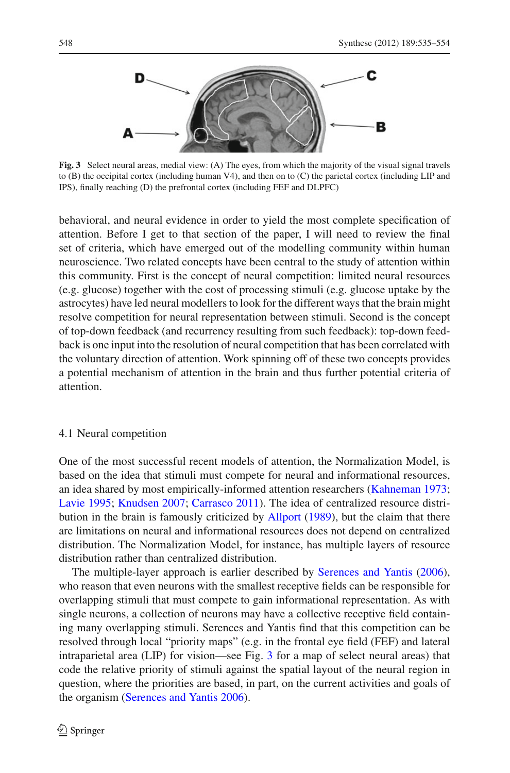

<span id="page-13-0"></span>**Fig. 3** Select neural areas, medial view: (A) The eyes, from which the majority of the visual signal travels to (B) the occipital cortex (including human V4), and then on to (C) the parietal cortex (including LIP and IPS), finally reaching (D) the prefrontal cortex (including FEF and DLPFC)

behavioral, and neural evidence in order to yield the most complete specification of attention. Before I get to that section of the paper, I will need to review the final set of criteria, which have emerged out of the modelling community within human neuroscience. Two related concepts have been central to the study of attention within this community. First is the concept of neural competition: limited neural resources (e.g. glucose) together with the cost of processing stimuli (e.g. glucose uptake by the astrocytes) have led neural modellers to look for the different ways that the brain might resolve competition for neural representation between stimuli. Second is the concept of top-down feedback (and recurrency resulting from such feedback): top-down feedback is one input into the resolution of neural competition that has been correlated with the voluntary direction of attention. Work spinning off of these two concepts provides a potential mechanism of attention in the brain and thus further potential criteria of attention.

#### 4.1 Neural competition

One of the most successful recent models of attention, the Normalization Model, is based on the idea that stimuli must compete for neural and informational resources, an idea shared by most empirically-informed attention researchers [\(Kahneman 1973](#page-19-17); [Lavie 1995;](#page-19-18) [Knudsen 2007;](#page-19-19) [Carrasco 2011\)](#page-18-12). The idea of centralized resource distribution in the brain is famously criticized by [Allport](#page-18-13) [\(1989\)](#page-18-13), but the claim that there are limitations on neural and informational resources does not depend on centralized distribution. The Normalization Model, for instance, has multiple layers of resource distribution rather than centralized distribution.

The multiple-layer approach is earlier described by [Serences and Yantis](#page-19-20) [\(2006](#page-19-20)), who reason that even neurons with the smallest receptive fields can be responsible for overlapping stimuli that must compete to gain informational representation. As with single neurons, a collection of neurons may have a collective receptive field containing many overlapping stimuli. Serences and Yantis find that this competition can be resolved through local "priority maps" (e.g. in the frontal eye field (FEF) and lateral intraparietal area (LIP) for vision—see Fig. [3](#page-13-0) for a map of select neural areas) that code the relative priority of stimuli against the spatial layout of the neural region in question, where the priorities are based, in part, on the current activities and goals of the organism [\(Serences and Yantis 2006](#page-19-20)).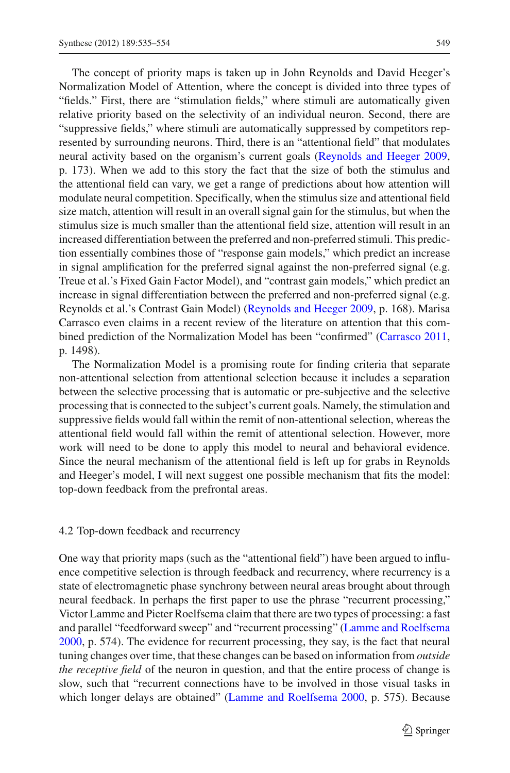The concept of priority maps is taken up in John Reynolds and David Heeger's Normalization Model of Attention, where the concept is divided into three types of "fields." First, there are "stimulation fields," where stimuli are automatically given relative priority based on the selectivity of an individual neuron. Second, there are "suppressive fields," where stimuli are automatically suppressed by competitors represented by surrounding neurons. Third, there is an "attentional field" that modulates neural activity based on the organism's current goals [\(Reynolds and Heeger 2009,](#page-19-21) p. 173). When we add to this story the fact that the size of both the stimulus and the attentional field can vary, we get a range of predictions about how attention will modulate neural competition. Specifically, when the stimulus size and attentional field size match, attention will result in an overall signal gain for the stimulus, but when the stimulus size is much smaller than the attentional field size, attention will result in an increased differentiation between the preferred and non-preferred stimuli. This prediction essentially combines those of "response gain models," which predict an increase in signal amplification for the preferred signal against the non-preferred signal (e.g. Treue et al.'s Fixed Gain Factor Model), and "contrast gain models," which predict an increase in signal differentiation between the preferred and non-preferred signal (e.g. Reynolds et al.'s Contrast Gain Model) [\(Reynolds and Heeger 2009,](#page-19-21) p. 168). Marisa Carrasco even claims in a recent review of the literature on attention that this combined prediction of the Normalization Model has been "confirmed" [\(Carrasco 2011,](#page-18-12) p. 1498).

The Normalization Model is a promising route for finding criteria that separate non-attentional selection from attentional selection because it includes a separation between the selective processing that is automatic or pre-subjective and the selective processing that is connected to the subject's current goals. Namely, the stimulation and suppressive fields would fall within the remit of non-attentional selection, whereas the attentional field would fall within the remit of attentional selection. However, more work will need to be done to apply this model to neural and behavioral evidence. Since the neural mechanism of the attentional field is left up for grabs in Reynolds and Heeger's model, I will next suggest one possible mechanism that fits the model: top-down feedback from the prefrontal areas.

#### 4.2 Top-down feedback and recurrency

One way that priority maps (such as the "attentional field") have been argued to influence competitive selection is through feedback and recurrency, where recurrency is a state of electromagnetic phase synchrony between neural areas brought about through neural feedback. In perhaps the first paper to use the phrase "recurrent processing," Victor Lamme and Pieter Roelfsema claim that there are two types of processing: a fast and parallel "feedforward sweep" and "recurrent processing" [\(Lamme and Roelfsema](#page-19-22) [2000,](#page-19-22) p. 574). The evidence for recurrent processing, they say, is the fact that neural tuning changes over time, that these changes can be based on information from *outside the receptive field* of the neuron in question, and that the entire process of change is slow, such that "recurrent connections have to be involved in those visual tasks in which longer delays are obtained" [\(Lamme and Roelfsema 2000](#page-19-22), p. 575). Because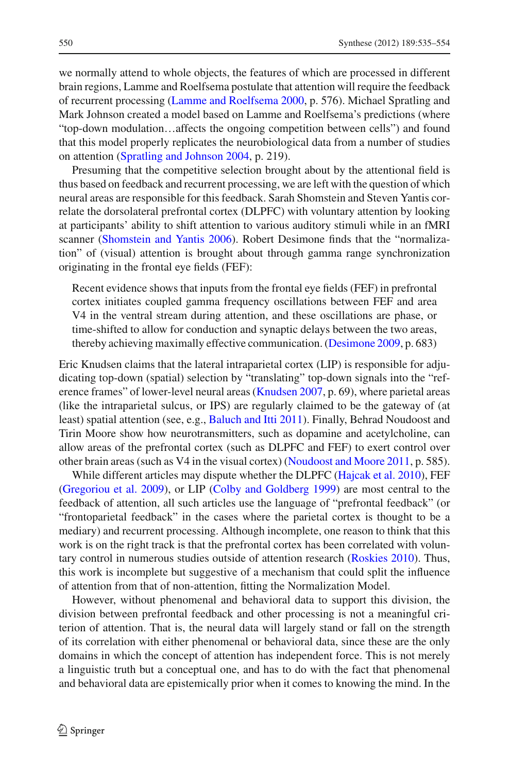we normally attend to whole objects, the features of which are processed in different brain regions, Lamme and Roelfsema postulate that attention will require the feedback of recurrent processing [\(Lamme and Roelfsema 2000](#page-19-22), p. 576). Michael Spratling and Mark Johnson created a model based on Lamme and Roelfsema's predictions (where "top-down modulation…affects the ongoing competition between cells") and found that this model properly replicates the neurobiological data from a number of studies on attention [\(Spratling and Johnson 2004,](#page-19-23) p. 219).

Presuming that the competitive selection brought about by the attentional field is thus based on feedback and recurrent processing, we are left with the question of which neural areas are responsible for this feedback. Sarah Shomstein and Steven Yantis correlate the dorsolateral prefrontal cortex (DLPFC) with voluntary attention by looking at participants' ability to shift attention to various auditory stimuli while in an fMRI scanner [\(Shomstein and Yantis 2006\)](#page-19-24). Robert Desimone finds that the "normalization" of (visual) attention is brought about through gamma range synchronization originating in the frontal eye fields (FEF):

Recent evidence shows that inputs from the frontal eye fields (FEF) in prefrontal cortex initiates coupled gamma frequency oscillations between FEF and area V4 in the ventral stream during attention, and these oscillations are phase, or time-shifted to allow for conduction and synaptic delays between the two areas, thereby achieving maximally effective communication. [\(Desimone 2009](#page-18-14), p. 683)

Eric Knudsen claims that the lateral intraparietal cortex (LIP) is responsible for adjudicating top-down (spatial) selection by "translating" top-down signals into the "reference frames" of lower-level neural areas [\(Knudsen 2007](#page-19-19), p. 69), where parietal areas (like the intraparietal sulcus, or IPS) are regularly claimed to be the gateway of (at least) spatial attention (see, e.g., [Baluch and Itti 2011](#page-18-15)). Finally, Behrad Noudoost and Tirin Moore show how neurotransmitters, such as dopamine and acetylcholine, can allow areas of the prefrontal cortex (such as DLPFC and FEF) to exert control over other brain areas (such as V4 in the visual cortex) [\(Noudoost and Moore 2011,](#page-19-25) p. 585).

While different articles may dispute whether the DLPFC [\(Hajcak et al. 2010\)](#page-18-16), FEF [\(Gregoriou et al. 2009](#page-18-17)), or LIP [\(Colby and Goldberg 1999\)](#page-18-18) are most central to the feedback of attention, all such articles use the language of "prefrontal feedback" (or "frontoparietal feedback" in the cases where the parietal cortex is thought to be a mediary) and recurrent processing. Although incomplete, one reason to think that this work is on the right track is that the prefrontal cortex has been correlated with voluntary control in numerous studies outside of attention research [\(Roskies 2010](#page-19-26)). Thus, this work is incomplete but suggestive of a mechanism that could split the influence of attention from that of non-attention, fitting the Normalization Model.

However, without phenomenal and behavioral data to support this division, the division between prefrontal feedback and other processing is not a meaningful criterion of attention. That is, the neural data will largely stand or fall on the strength of its correlation with either phenomenal or behavioral data, since these are the only domains in which the concept of attention has independent force. This is not merely a linguistic truth but a conceptual one, and has to do with the fact that phenomenal and behavioral data are epistemically prior when it comes to knowing the mind. In the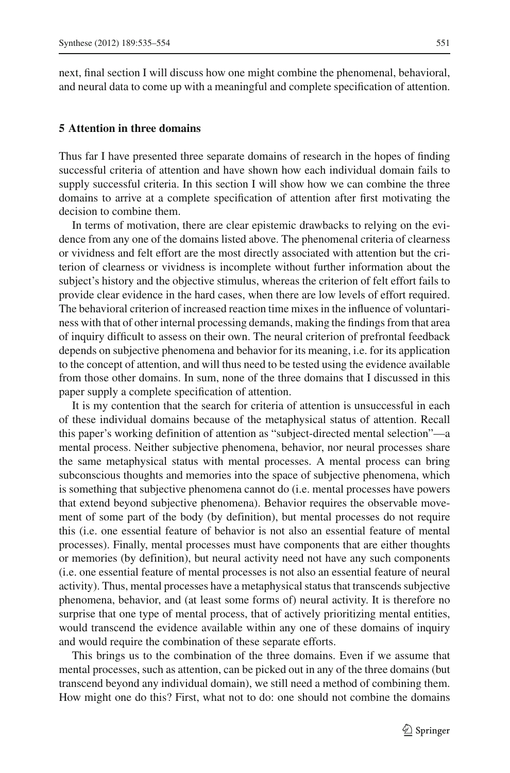next, final section I will discuss how one might combine the phenomenal, behavioral, and neural data to come up with a meaningful and complete specification of attention.

#### **5 Attention in three domains**

Thus far I have presented three separate domains of research in the hopes of finding successful criteria of attention and have shown how each individual domain fails to supply successful criteria. In this section I will show how we can combine the three domains to arrive at a complete specification of attention after first motivating the decision to combine them.

In terms of motivation, there are clear epistemic drawbacks to relying on the evidence from any one of the domains listed above. The phenomenal criteria of clearness or vividness and felt effort are the most directly associated with attention but the criterion of clearness or vividness is incomplete without further information about the subject's history and the objective stimulus, whereas the criterion of felt effort fails to provide clear evidence in the hard cases, when there are low levels of effort required. The behavioral criterion of increased reaction time mixes in the influence of voluntariness with that of other internal processing demands, making the findings from that area of inquiry difficult to assess on their own. The neural criterion of prefrontal feedback depends on subjective phenomena and behavior for its meaning, i.e. for its application to the concept of attention, and will thus need to be tested using the evidence available from those other domains. In sum, none of the three domains that I discussed in this paper supply a complete specification of attention.

It is my contention that the search for criteria of attention is unsuccessful in each of these individual domains because of the metaphysical status of attention. Recall this paper's working definition of attention as "subject-directed mental selection"—a mental process. Neither subjective phenomena, behavior, nor neural processes share the same metaphysical status with mental processes. A mental process can bring subconscious thoughts and memories into the space of subjective phenomena, which is something that subjective phenomena cannot do (i.e. mental processes have powers that extend beyond subjective phenomena). Behavior requires the observable movement of some part of the body (by definition), but mental processes do not require this (i.e. one essential feature of behavior is not also an essential feature of mental processes). Finally, mental processes must have components that are either thoughts or memories (by definition), but neural activity need not have any such components (i.e. one essential feature of mental processes is not also an essential feature of neural activity). Thus, mental processes have a metaphysical status that transcends subjective phenomena, behavior, and (at least some forms of) neural activity. It is therefore no surprise that one type of mental process, that of actively prioritizing mental entities, would transcend the evidence available within any one of these domains of inquiry and would require the combination of these separate efforts.

This brings us to the combination of the three domains. Even if we assume that mental processes, such as attention, can be picked out in any of the three domains (but transcend beyond any individual domain), we still need a method of combining them. How might one do this? First, what not to do: one should not combine the domains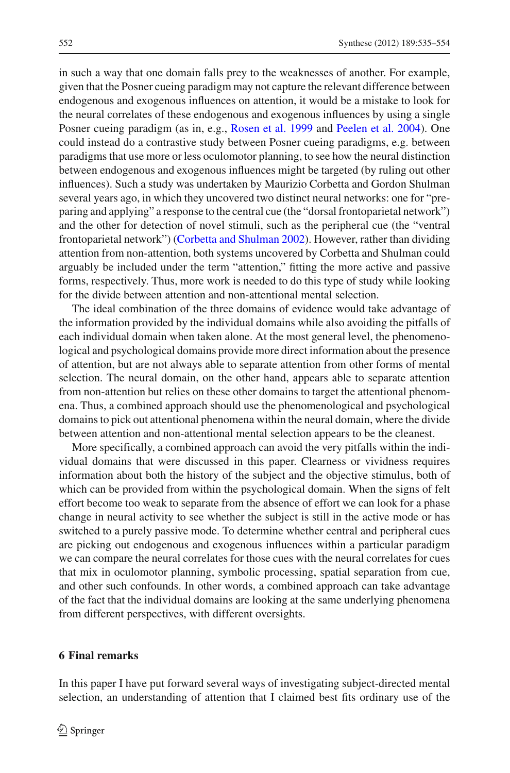in such a way that one domain falls prey to the weaknesses of another. For example, given that the Posner cueing paradigm may not capture the relevant difference between endogenous and exogenous influences on attention, it would be a mistake to look for the neural correlates of these endogenous and exogenous influences by using a single Posner cueing paradigm (as in, e.g., [Rosen et al. 1999](#page-19-27) and [Peelen et al. 2004\)](#page-19-28). One could instead do a contrastive study between Posner cueing paradigms, e.g. between paradigms that use more or less oculomotor planning, to see how the neural distinction between endogenous and exogenous influences might be targeted (by ruling out other influences). Such a study was undertaken by Maurizio Corbetta and Gordon Shulman several years ago, in which they uncovered two distinct neural networks: one for "preparing and applying" a response to the central cue (the "dorsal frontoparietal network") and the other for detection of novel stimuli, such as the peripheral cue (the "ventral frontoparietal network") [\(Corbetta and Shulman 2002\)](#page-18-19). However, rather than dividing attention from non-attention, both systems uncovered by Corbetta and Shulman could arguably be included under the term "attention," fitting the more active and passive forms, respectively. Thus, more work is needed to do this type of study while looking for the divide between attention and non-attentional mental selection.

The ideal combination of the three domains of evidence would take advantage of the information provided by the individual domains while also avoiding the pitfalls of each individual domain when taken alone. At the most general level, the phenomenological and psychological domains provide more direct information about the presence of attention, but are not always able to separate attention from other forms of mental selection. The neural domain, on the other hand, appears able to separate attention from non-attention but relies on these other domains to target the attentional phenomena. Thus, a combined approach should use the phenomenological and psychological domains to pick out attentional phenomena within the neural domain, where the divide between attention and non-attentional mental selection appears to be the cleanest.

More specifically, a combined approach can avoid the very pitfalls within the individual domains that were discussed in this paper. Clearness or vividness requires information about both the history of the subject and the objective stimulus, both of which can be provided from within the psychological domain. When the signs of felt effort become too weak to separate from the absence of effort we can look for a phase change in neural activity to see whether the subject is still in the active mode or has switched to a purely passive mode. To determine whether central and peripheral cues are picking out endogenous and exogenous influences within a particular paradigm we can compare the neural correlates for those cues with the neural correlates for cues that mix in oculomotor planning, symbolic processing, spatial separation from cue, and other such confounds. In other words, a combined approach can take advantage of the fact that the individual domains are looking at the same underlying phenomena from different perspectives, with different oversights.

## **6 Final remarks**

In this paper I have put forward several ways of investigating subject-directed mental selection, an understanding of attention that I claimed best fits ordinary use of the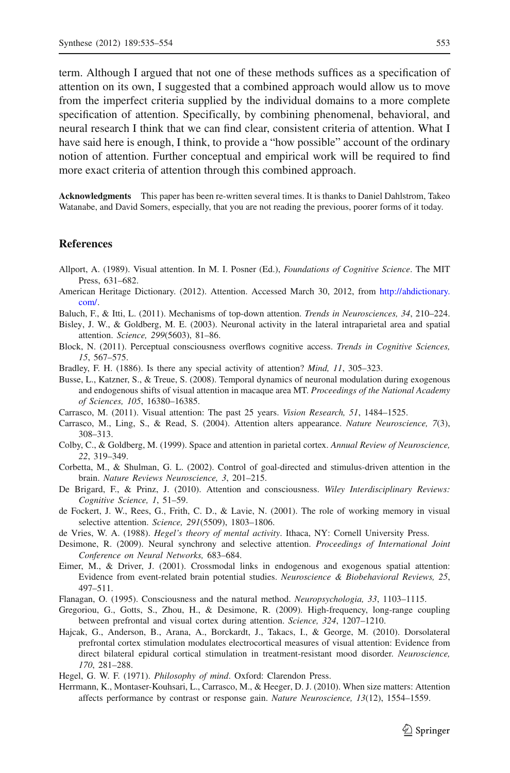term. Although I argued that not one of these methods suffices as a specification of attention on its own, I suggested that a combined approach would allow us to move from the imperfect criteria supplied by the individual domains to a more complete specification of attention. Specifically, by combining phenomenal, behavioral, and neural research I think that we can find clear, consistent criteria of attention. What I have said here is enough, I think, to provide a "how possible" account of the ordinary notion of attention. Further conceptual and empirical work will be required to find more exact criteria of attention through this combined approach.

**Acknowledgments** This paper has been re-written several times. It is thanks to Daniel Dahlstrom, Takeo Watanabe, and David Somers, especially, that you are not reading the previous, poorer forms of it today.

#### **References**

- <span id="page-18-13"></span>Allport, A. (1989). Visual attention. In M. I. Posner (Ed.), *Foundations of Cognitive Science*. The MIT Press, 631–682.
- <span id="page-18-3"></span>American Heritage Dictionary. (2012). Attention. Accessed March 30, 2012, from [http://ahdictionary.](http://ahdictionary.com/) [com/.](http://ahdictionary.com/)
- <span id="page-18-15"></span>Baluch, F., & Itti, L. (2011). Mechanisms of top-down attention. *Trends in Neurosciences, 34*, 210–224.
- <span id="page-18-5"></span>Bisley, J. W., & Goldberg, M. E. (2003). Neuronal activity in the lateral intraparietal area and spatial attention. *Science, 299*(5603), 81–86.
- <span id="page-18-8"></span>Block, N. (2011). Perceptual consciousness overflows cognitive access. *Trends in Cognitive Sciences, 15*, 567–575.
- <span id="page-18-4"></span>Bradley, F. H. (1886). Is there any special activity of attention? *Mind, 11*, 305–323.
- <span id="page-18-11"></span>Busse, L., Katzner, S., & Treue, S. (2008). Temporal dynamics of neuronal modulation during exogenous and endogenous shifts of visual attention in macaque area MT. *Proceedings of the National Academy of Sciences, 105*, 16380–16385.
- <span id="page-18-12"></span>Carrasco, M. (2011). Visual attention: The past 25 years. *Vision Research, 51*, 1484–1525.
- <span id="page-18-7"></span>Carrasco, M., Ling, S., & Read, S. (2004). Attention alters appearance. *Nature Neuroscience, 7*(3), 308–313.
- <span id="page-18-18"></span>Colby, C., & Goldberg, M. (1999). Space and attention in parietal cortex. *Annual Review of Neuroscience, 22*, 319–349.
- <span id="page-18-19"></span>Corbetta, M., & Shulman, G. L. (2002). Control of goal-directed and stimulus-driven attention in the brain. *Nature Reviews Neuroscience, 3*, 201–215.
- <span id="page-18-2"></span>De Brigard, F., & Prinz, J. (2010). Attention and consciousness. *Wiley Interdisciplinary Reviews: Cognitive Science, 1*, 51–59.
- <span id="page-18-6"></span>de Fockert, J. W., Rees, G., Frith, C. D., & Lavie, N. (2001). The role of working memory in visual selective attention. *Science, 291*(5509), 1803–1806.
- <span id="page-18-1"></span>de Vries, W. A. (1988). *Hegel's theory of mental activity*. Ithaca, NY: Cornell University Press.
- <span id="page-18-14"></span>Desimone, R. (2009). Neural synchrony and selective attention. *Proceedings of International Joint Conference on Neural Networks,* 683–684.
- <span id="page-18-10"></span>Eimer, M., & Driver, J. (2001). Crossmodal links in endogenous and exogenous spatial attention: Evidence from event-related brain potential studies. *Neuroscience & Biobehavioral Reviews, 25*, 497–511.
- Flanagan, O. (1995). Consciousness and the natural method. *Neuropsychologia, 33*, 1103–1115.
- <span id="page-18-17"></span>Gregoriou, G., Gotts, S., Zhou, H., & Desimone, R. (2009). High-frequency, long-range coupling between prefrontal and visual cortex during attention. *Science, 324*, 1207–1210.
- <span id="page-18-16"></span>Hajcak, G., Anderson, B., Arana, A., Borckardt, J., Takacs, I., & George, M. (2010). Dorsolateral prefrontal cortex stimulation modulates electrocortical measures of visual attention: Evidence from direct bilateral epidural cortical stimulation in treatment-resistant mood disorder. *Neuroscience, 170*, 281–288.
- <span id="page-18-0"></span>Hegel, G. W. F. (1971). *Philosophy of mind*. Oxford: Clarendon Press.
- <span id="page-18-9"></span>Herrmann, K., Montaser-Kouhsari, L., Carrasco, M., & Heeger, D. J. (2010). When size matters: Attention affects performance by contrast or response gain. *Nature Neuroscience, 13*(12), 1554–1559.